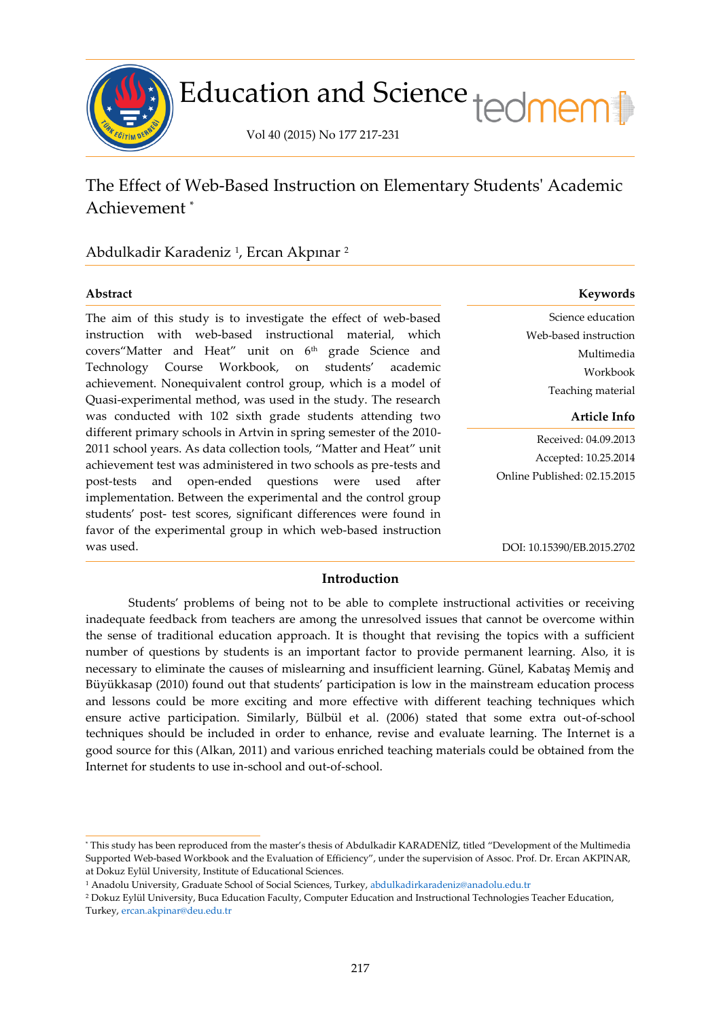

# Education and Science tedmem<sup>[1</sup>]

Vol 40 (2015) No 177 217-231

## The Effect of Web-Based Instruction on Elementary Students' Academic Achievement \*

### Abdulkadir Karadeniz <sup>1</sup> , Ercan Akpınar <sup>2</sup>

ł

The aim of this study is to investigate the effect of web-based instruction with web-based instructional material, which covers"Matter and Heat" unit on 6<sup>th</sup> grade Science and Technology Course Workbook, on students' academic achievement. Nonequivalent control group, which is a model of Quasi-experimental method, was used in the study. The research was conducted with 102 sixth grade students attending two different primary schools in Artvin in spring semester of the 2010- 2011 school years. As data collection tools, "Matter and Heat" unit achievement test was administered in two schools as pre-tests and post-tests and open-ended questions were used after implementation. Between the experimental and the control group students' post- test scores, significant differences were found in favor of the experimental group in which web-based instruction was used.

#### **Abstract Keywords**

Science education Web-based instruction Multimedia Workbook Teaching material

#### **Article Info**

Received: 04.09.2013 Accepted: 10.25.2014 Online Published: 02.15.2015

DOI: 10.15390/EB.2015.2702

#### **Introduction**

Students' problems of being not to be able to complete instructional activities or receiving inadequate feedback from teachers are among the unresolved issues that cannot be overcome within the sense of traditional education approach. It is thought that revising the topics with a sufficient number of questions by students is an important factor to provide permanent learning. Also, it is necessary to eliminate the causes of mislearning and insufficient learning. Günel, Kabataş Memiş and Büyükkasap (2010) found out that students' participation is low in the mainstream education process and lessons could be more exciting and more effective with different teaching techniques which ensure active participation. Similarly, Bülbül et al. (2006) stated that some extra out-of-school techniques should be included in order to enhance, revise and evaluate learning. The Internet is a good source for this (Alkan, 2011) and various enriched teaching materials could be obtained from the Internet for students to use in-school and out-of-school.

<sup>\*</sup> This study has been reproduced from the master's thesis of Abdulkadir KARADENİZ, titled "Development of the Multimedia Supported Web-based Workbook and the Evaluation of Efficiency", under the supervision of Assoc. Prof. Dr. Ercan AKPINAR, at Dokuz Eylül University, Institute of Educational Sciences.

<sup>1</sup> Anadolu University, Graduate School of Social Sciences, Turkey, [abdulkadirkaradeniz@anadolu.edu.tr](mailto:abdulkadirkaradeniz@anadolu.edu.tr)

<sup>2</sup> Dokuz Eylül University, Buca Education Faculty, Computer Education and Instructional Technologies Teacher Education, Turkey[, ercan.akpinar@deu.edu.tr](mailto:ercan.akpinar@deu.edu.tr)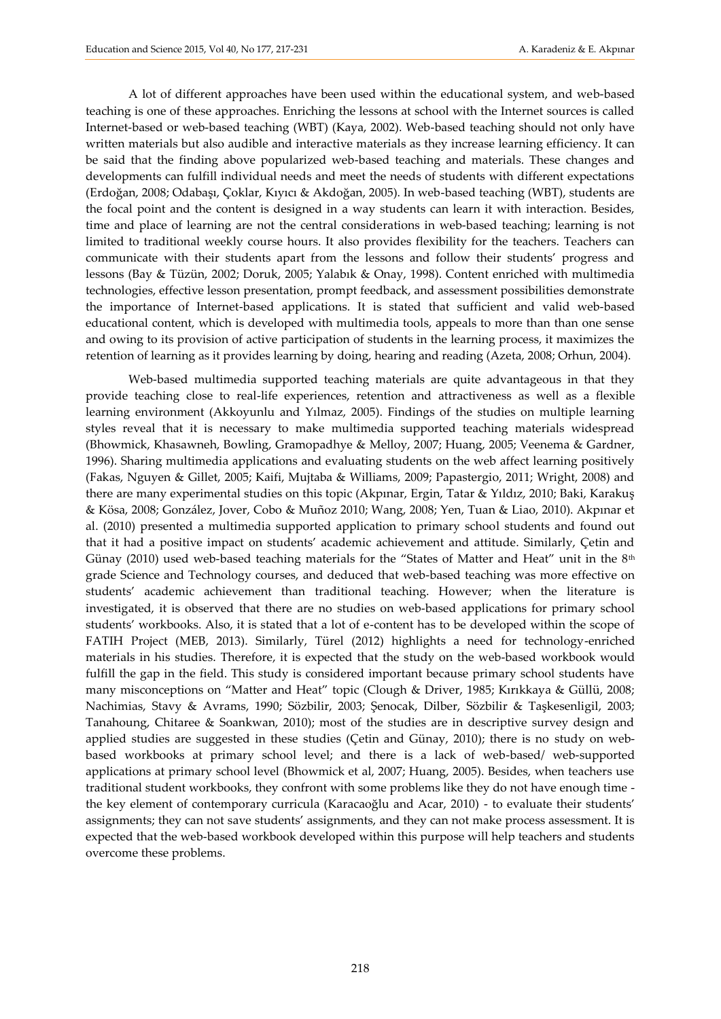A lot of different approaches have been used within the educational system, and web-based teaching is one of these approaches. Enriching the lessons at school with the Internet sources is called Internet-based or web-based teaching (WBT) (Kaya, 2002). Web-based teaching should not only have written materials but also audible and interactive materials as they increase learning efficiency. It can be said that the finding above popularized web-based teaching and materials. These changes and developments can fulfill individual needs and meet the needs of students with different expectations (Erdoğan, 2008; Odabaşı, Çoklar, Kıyıcı & Akdoğan, 2005). In web-based teaching (WBT), students are the focal point and the content is designed in a way students can learn it with interaction. Besides, time and place of learning are not the central considerations in web-based teaching; learning is not limited to traditional weekly course hours. It also provides flexibility for the teachers. Teachers can communicate with their students apart from the lessons and follow their students' progress and lessons (Bay & Tüzün, 2002; Doruk, 2005; Yalabık & Onay, 1998). Content enriched with multimedia technologies, effective lesson presentation, prompt feedback, and assessment possibilities demonstrate the importance of Internet-based applications. It is stated that sufficient and valid web-based educational content, which is developed with multimedia tools, appeals to more than than one sense and owing to its provision of active participation of students in the learning process, it maximizes the retention of learning as it provides learning by doing, hearing and reading (Azeta, 2008; Orhun, 2004).

Web-based multimedia supported teaching materials are quite advantageous in that they provide teaching close to real-life experiences, retention and attractiveness as well as a flexible learning environment (Akkoyunlu and Yılmaz, 2005). Findings of the studies on multiple learning styles reveal that it is necessary to make multimedia supported teaching materials widespread (Bhowmick, Khasawneh, Bowling, Gramopadhye & Melloy, 2007; Huang, 2005; Veenema & Gardner, 1996). Sharing multimedia applications and evaluating students on the web affect learning positively (Fakas, Nguyen & Gillet, 2005; Kaifi, Mujtaba & Williams, 2009; Papastergio, 2011; Wright, 2008) and there are many experimental studies on this topic (Akpınar, Ergin, Tatar & Yıldız, 2010; Baki, Karakuş & Kösa, 2008; González, Jover, Cobo & Muñoz 2010; Wang, 2008; Yen, Tuan & Liao, 2010). Akpınar et al. (2010) presented a multimedia supported application to primary school students and found out that it had a positive impact on students' academic achievement and attitude. Similarly, Çetin and Günay (2010) used web-based teaching materials for the "States of Matter and Heat" unit in the 8<sup>th</sup> grade Science and Technology courses, and deduced that web-based teaching was more effective on students' academic achievement than traditional teaching. However; when the literature is investigated, it is observed that there are no studies on web-based applications for primary school students' workbooks. Also, it is stated that a lot of e-content has to be developed within the scope of FATIH Project (MEB, 2013). Similarly, Türel (2012) highlights a need for technology-enriched materials in his studies. Therefore, it is expected that the study on the web-based workbook would fulfill the gap in the field. This study is considered important because primary school students have many misconceptions on "Matter and Heat" topic (Clough & Driver, 1985; Kırıkkaya & Güllü, 2008; Nachimias, Stavy & Avrams, 1990; Sözbilir, 2003; Şenocak, Dilber, Sözbilir & Taşkesenligil, 2003; Tanahoung, Chitaree & Soankwan, 2010); most of the studies are in descriptive survey design and applied studies are suggested in these studies (Çetin and Günay, 2010); there is no study on webbased workbooks at primary school level; and there is a lack of web-based/ web-supported applications at primary school level (Bhowmick et al, 2007; Huang, 2005). Besides, when teachers use traditional student workbooks, they confront with some problems like they do not have enough time the key element of contemporary curricula (Karacaoğlu and Acar, 2010) - to evaluate their students' assignments; they can not save students' assignments, and they can not make process assessment. It is expected that the web-based workbook developed within this purpose will help teachers and students overcome these problems.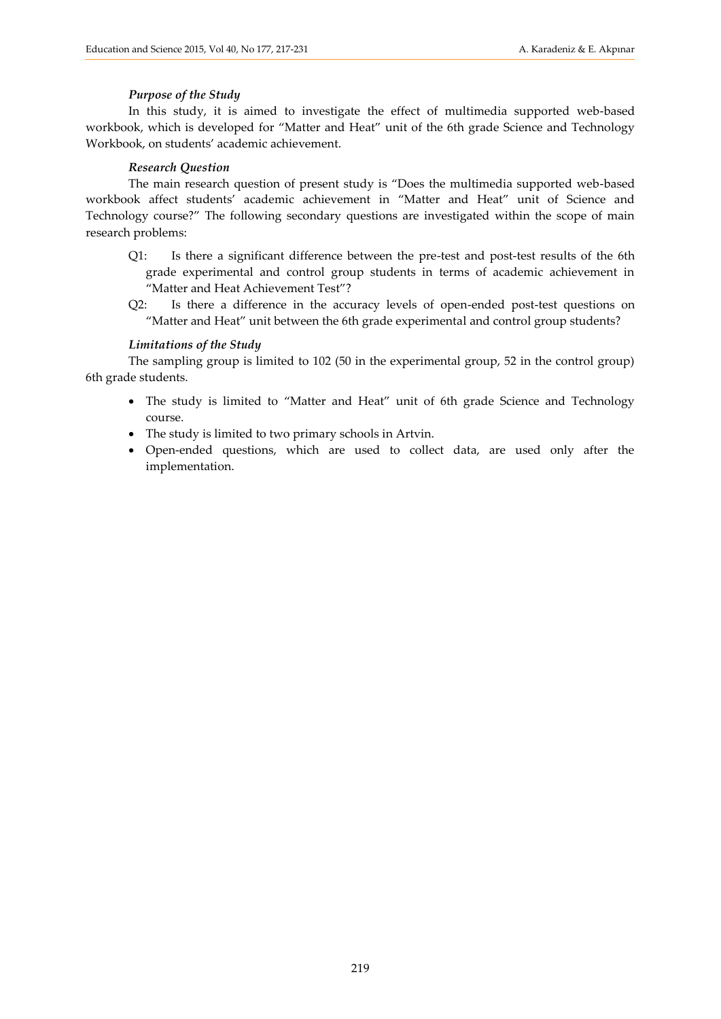#### *Purpose of the Study*

In this study, it is aimed to investigate the effect of multimedia supported web-based workbook, which is developed for "Matter and Heat" unit of the 6th grade Science and Technology Workbook, on students' academic achievement.

#### *Research Question*

The main research question of present study is "Does the multimedia supported web-based workbook affect students' academic achievement in "Matter and Heat" unit of Science and Technology course?" The following secondary questions are investigated within the scope of main research problems:

- Q1: Is there a significant difference between the pre-test and post-test results of the 6th grade experimental and control group students in terms of academic achievement in "Matter and Heat Achievement Test"?
- Q2: Is there a difference in the accuracy levels of open-ended post-test questions on "Matter and Heat" unit between the 6th grade experimental and control group students?

#### *Limitations of the Study*

The sampling group is limited to 102 (50 in the experimental group, 52 in the control group) 6th grade students.

- The study is limited to "Matter and Heat" unit of 6th grade Science and Technology course.
- The study is limited to two primary schools in Artvin.
- Open-ended questions, which are used to collect data, are used only after the implementation.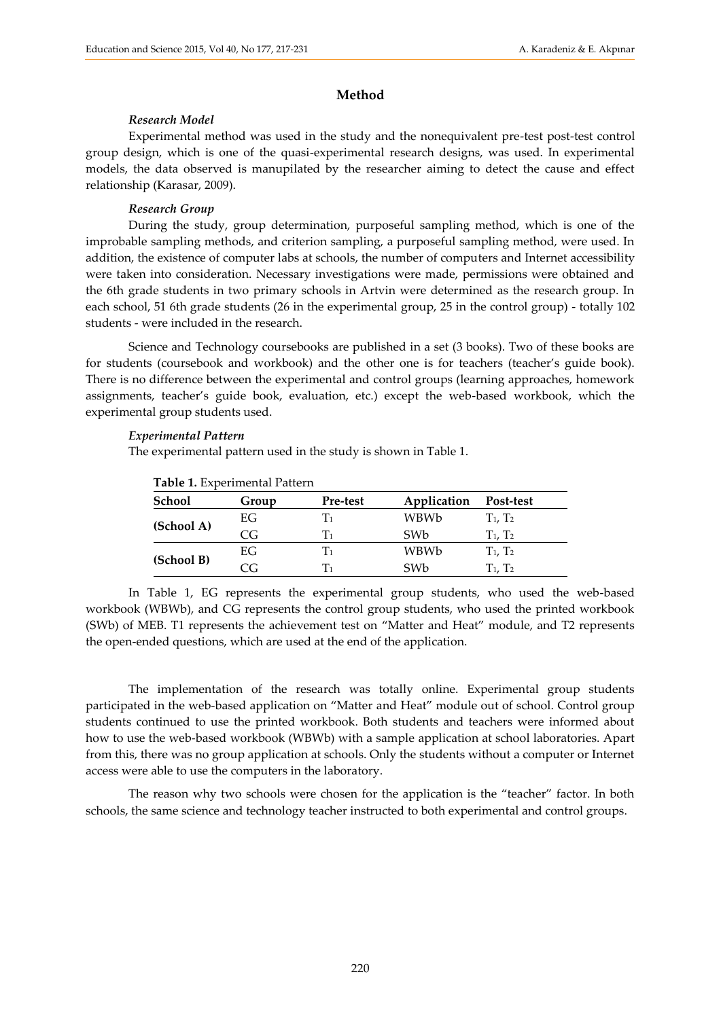#### **Method**

#### *Research Model*

Experimental method was used in the study and the nonequivalent pre-test post-test control group design, which is one of the quasi-experimental research designs, was used. In experimental models, the data observed is manupilated by the researcher aiming to detect the cause and effect relationship (Karasar, 2009).

#### *Research Group*

During the study, group determination, purposeful sampling method, which is one of the improbable sampling methods, and criterion sampling, a purposeful sampling method, were used. In addition, the existence of computer labs at schools, the number of computers and Internet accessibility were taken into consideration. Necessary investigations were made, permissions were obtained and the 6th grade students in two primary schools in Artvin were determined as the research group. In each school, 51 6th grade students (26 in the experimental group, 25 in the control group) - totally 102 students - were included in the research.

Science and Technology coursebooks are published in a set (3 books). Two of these books are for students (coursebook and workbook) and the other one is for teachers (teacher's guide book). There is no difference between the experimental and control groups (learning approaches, homework assignments, teacher's guide book, evaluation, etc.) except the web-based workbook, which the experimental group students used.

#### *Experimental Pattern*

The experimental pattern used in the study is shown in Table 1.

| Table 1. Experimental Pattern |       |                |                 |               |  |  |  |  |
|-------------------------------|-------|----------------|-----------------|---------------|--|--|--|--|
| School                        | Group | Pre-test       | Application     | Post-test     |  |  |  |  |
| (School A)                    | EG    | T1             | WBWb            | $T_1$ , $T_2$ |  |  |  |  |
|                               | CG.   | $\mathrm{T}_1$ | SW <sub>b</sub> | $T_1$ , $T_2$ |  |  |  |  |
| (School B)                    | EG    | T1             | WBWb            | $T_1, T_2$    |  |  |  |  |
|                               | CG.   | $\mathrm{T}_1$ | SW <sub>b</sub> | $T_1$ . $T_2$ |  |  |  |  |

In Table 1, EG represents the experimental group students, who used the web-based workbook (WBWb), and CG represents the control group students, who used the printed workbook (SWb) of MEB. T1 represents the achievement test on "Matter and Heat" module, and T2 represents the open-ended questions, which are used at the end of the application.

The implementation of the research was totally online. Experimental group students participated in the web-based application on "Matter and Heat" module out of school. Control group students continued to use the printed workbook. Both students and teachers were informed about how to use the web-based workbook (WBWb) with a sample application at school laboratories. Apart from this, there was no group application at schools. Only the students without a computer or Internet access were able to use the computers in the laboratory.

The reason why two schools were chosen for the application is the "teacher" factor. In both schools, the same science and technology teacher instructed to both experimental and control groups.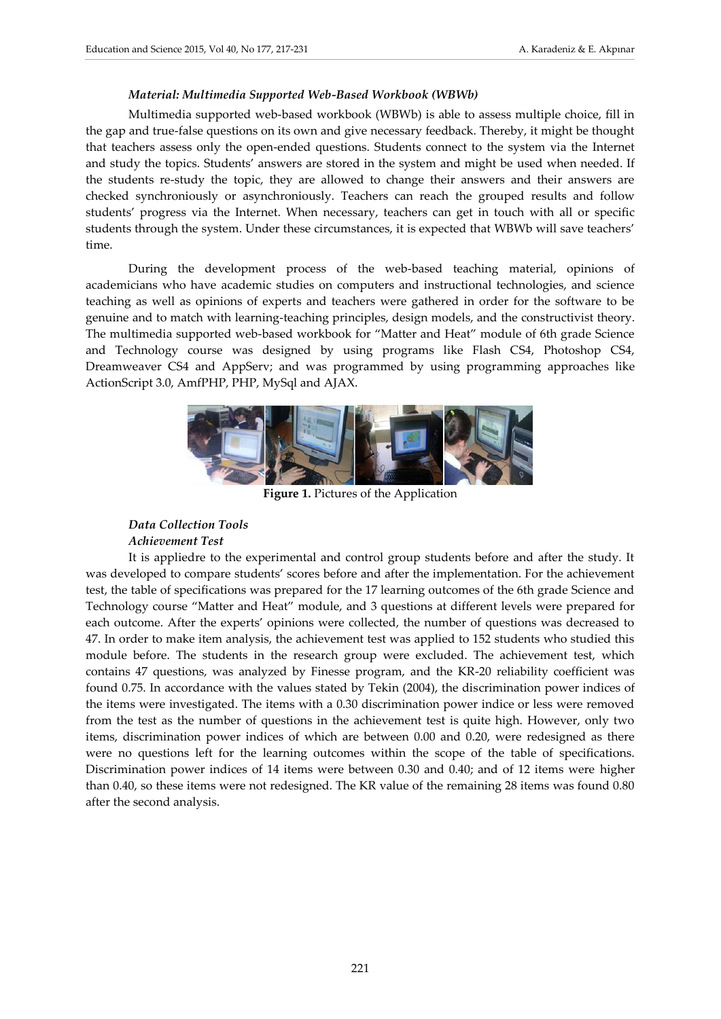#### *Material: Multimedia Supported Web-Based Workbook (WBWb)*

Multimedia supported web-based workbook (WBWb) is able to assess multiple choice, fill in the gap and true-false questions on its own and give necessary feedback. Thereby, it might be thought that teachers assess only the open-ended questions. Students connect to the system via the Internet and study the topics. Students' answers are stored in the system and might be used when needed. If the students re-study the topic, they are allowed to change their answers and their answers are checked synchroniously or asynchroniously. Teachers can reach the grouped results and follow students' progress via the Internet. When necessary, teachers can get in touch with all or specific students through the system. Under these circumstances, it is expected that WBWb will save teachers' time.

During the development process of the web-based teaching material, opinions of academicians who have academic studies on computers and instructional technologies, and science teaching as well as opinions of experts and teachers were gathered in order for the software to be genuine and to match with learning-teaching principles, design models, and the constructivist theory. The multimedia supported web-based workbook for "Matter and Heat" module of 6th grade Science and Technology course was designed by using programs like Flash CS4, Photoshop CS4, Dreamweaver CS4 and AppServ; and was programmed by using programming approaches like ActionScript 3.0, AmfPHP, PHP, MySql and AJAX.



**Figure 1.** Pictures of the Application

#### *Data Collection Tools Achievement Test*

It is appliedre to the experimental and control group students before and after the study. It was developed to compare students' scores before and after the implementation. For the achievement test, the table of specifications was prepared for the 17 learning outcomes of the 6th grade Science and Technology course "Matter and Heat" module, and 3 questions at different levels were prepared for each outcome. After the experts' opinions were collected, the number of questions was decreased to 47. In order to make item analysis, the achievement test was applied to 152 students who studied this module before. The students in the research group were excluded. The achievement test, which contains 47 questions, was analyzed by Finesse program, and the KR-20 reliability coefficient was found 0.75. In accordance with the values stated by Tekin (2004), the discrimination power indices of the items were investigated. The items with a 0.30 discrimination power indice or less were removed from the test as the number of questions in the achievement test is quite high. However, only two items, discrimination power indices of which are between 0.00 and 0.20, were redesigned as there were no questions left for the learning outcomes within the scope of the table of specifications. Discrimination power indices of 14 items were between 0.30 and 0.40; and of 12 items were higher than 0.40, so these items were not redesigned. The KR value of the remaining 28 items was found 0.80 after the second analysis.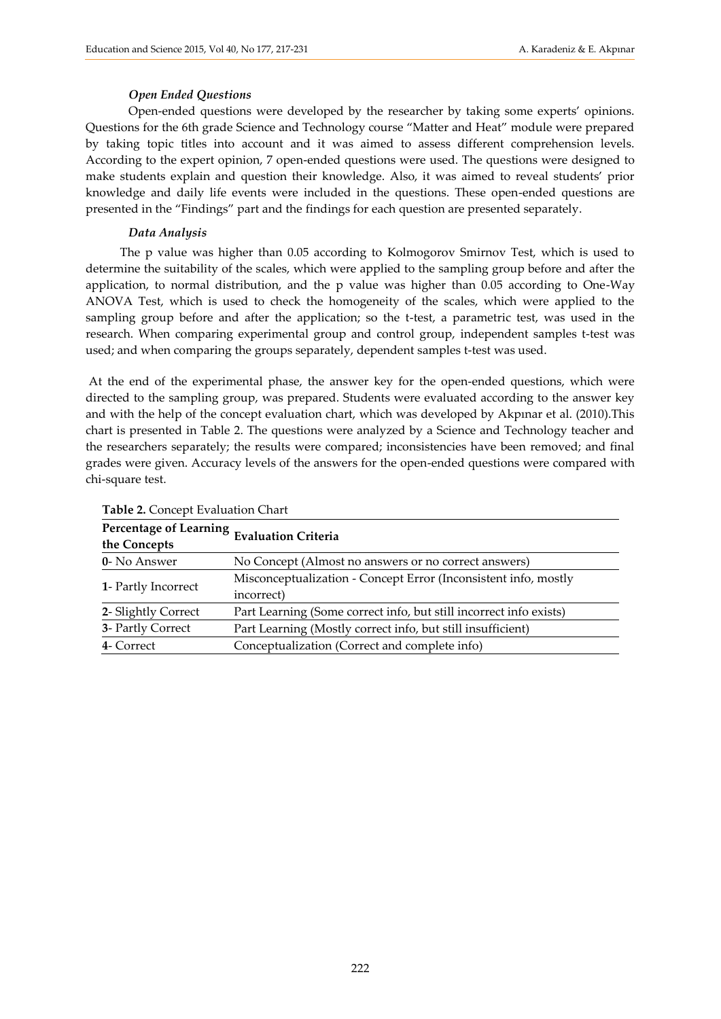#### *Open Ended Questions*

Open-ended questions were developed by the researcher by taking some experts' opinions. Questions for the 6th grade Science and Technology course "Matter and Heat" module were prepared by taking topic titles into account and it was aimed to assess different comprehension levels. According to the expert opinion, 7 open-ended questions were used. The questions were designed to make students explain and question their knowledge. Also, it was aimed to reveal students' prior knowledge and daily life events were included in the questions. These open-ended questions are presented in the "Findings" part and the findings for each question are presented separately.

#### *Data Analysis*

The p value was higher than 0.05 according to Kolmogorov Smirnov Test, which is used to determine the suitability of the scales, which were applied to the sampling group before and after the application, to normal distribution, and the p value was higher than 0.05 according to One-Way ANOVA Test, which is used to check the homogeneity of the scales, which were applied to the sampling group before and after the application; so the t-test, a parametric test, was used in the research. When comparing experimental group and control group, independent samples t-test was used; and when comparing the groups separately, dependent samples t-test was used.

At the end of the experimental phase, the answer key for the open-ended questions, which were directed to the sampling group, was prepared. Students were evaluated according to the answer key and with the help of the concept evaluation chart, which was developed by Akpınar et al. (2010).This chart is presented in Table 2. The questions were analyzed by a Science and Technology teacher and the researchers separately; the results were compared; inconsistencies have been removed; and final grades were given. Accuracy levels of the answers for the open-ended questions were compared with chi-square test.

| Percentage of Learning Evaluation Criteria                                    |  |  |  |  |  |
|-------------------------------------------------------------------------------|--|--|--|--|--|
| No Concept (Almost no answers or no correct answers)                          |  |  |  |  |  |
| Misconceptualization - Concept Error (Inconsistent info, mostly<br>incorrect) |  |  |  |  |  |
| Part Learning (Some correct info, but still incorrect info exists)            |  |  |  |  |  |
| Part Learning (Mostly correct info, but still insufficient)                   |  |  |  |  |  |
| Conceptualization (Correct and complete info)                                 |  |  |  |  |  |
|                                                                               |  |  |  |  |  |

**Table 2.** Concept Evaluation Chart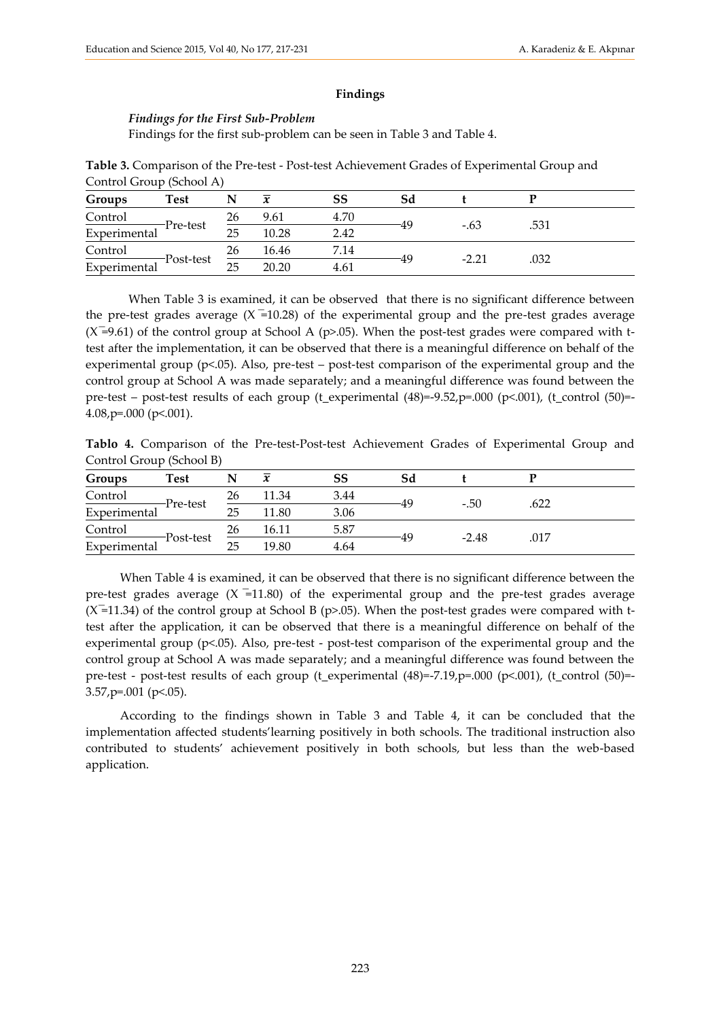#### **Findings**

#### *Findings for the First Sub-Problem*

Findings for the first sub-problem can be seen in Table 3 and Table 4.

**Table 3.** Comparison of the Pre-test - Post-test Achievement Grades of Experimental Group and Control Group (School A)

| Groups       | <b>Test</b> |    | $\boldsymbol{x}$ | SS   |         |      |  |
|--------------|-------------|----|------------------|------|---------|------|--|
| Control      | -Pre-test   | 26 | 9.61             | 4.70 | $-.63$  |      |  |
| Experimental |             | 25 | 10.28            | 2.42 |         | .531 |  |
| Control      | -Post-test  | 26 | 16.46            | 7.14 |         |      |  |
| Experimental |             | 25 | 20.20            | 4.61 | $-2.21$ | .032 |  |

When Table 3 is examined, it can be observed that there is no significant difference between the pre-test grades average  $(X=10.28)$  of the experimental group and the pre-test grades average  $(X=9.61)$  of the control group at School A (p>.05). When the post-test grades were compared with ttest after the implementation, it can be observed that there is a meaningful difference on behalf of the experimental group ( $p<05$ ). Also, pre-test – post-test comparison of the experimental group and the control group at School A was made separately; and a meaningful difference was found between the pre-test – post-test results of each group (t\_experimental (48)=-9.52,p=.000 (p<.001), (t\_control (50)=-4.08,p=.000 (p<.001).

**Tablo 4.** Comparison of the Pre-test-Post-test Achievement Grades of Experimental Group and Control Group (School B)

| Groups       | Test       |    | $\mathbf{v}$ | SS   | Sd |         |      |  |
|--------------|------------|----|--------------|------|----|---------|------|--|
| Control      | ——Pre-test | 26 | 11.34        | 3.44 |    | $-.50$  | .622 |  |
| Experimental |            | 25 | 11.80        | 3.06 |    |         |      |  |
| Control      |            | 26 | 16.11        | 5.87 |    |         |      |  |
| Experimental | -Post-test | 25 | 19.80        | 4.64 |    | $-2.48$ | .017 |  |

When Table 4 is examined, it can be observed that there is no significant difference between the pre-test grades average  $(X = 11.80)$  of the experimental group and the pre-test grades average  $(X=11.34)$  of the control group at School B (p>.05). When the post-test grades were compared with ttest after the application, it can be observed that there is a meaningful difference on behalf of the experimental group (p<.05). Also, pre-test - post-test comparison of the experimental group and the control group at School A was made separately; and a meaningful difference was found between the pre-test - post-test results of each group (t\_experimental (48)=-7.19,p=.000 (p<.001), (t\_control (50)=-3.57,p=.001 (p<.05).

According to the findings shown in Table 3 and Table 4, it can be concluded that the implementation affected students'learning positively in both schools. The traditional instruction also contributed to students' achievement positively in both schools, but less than the web-based application.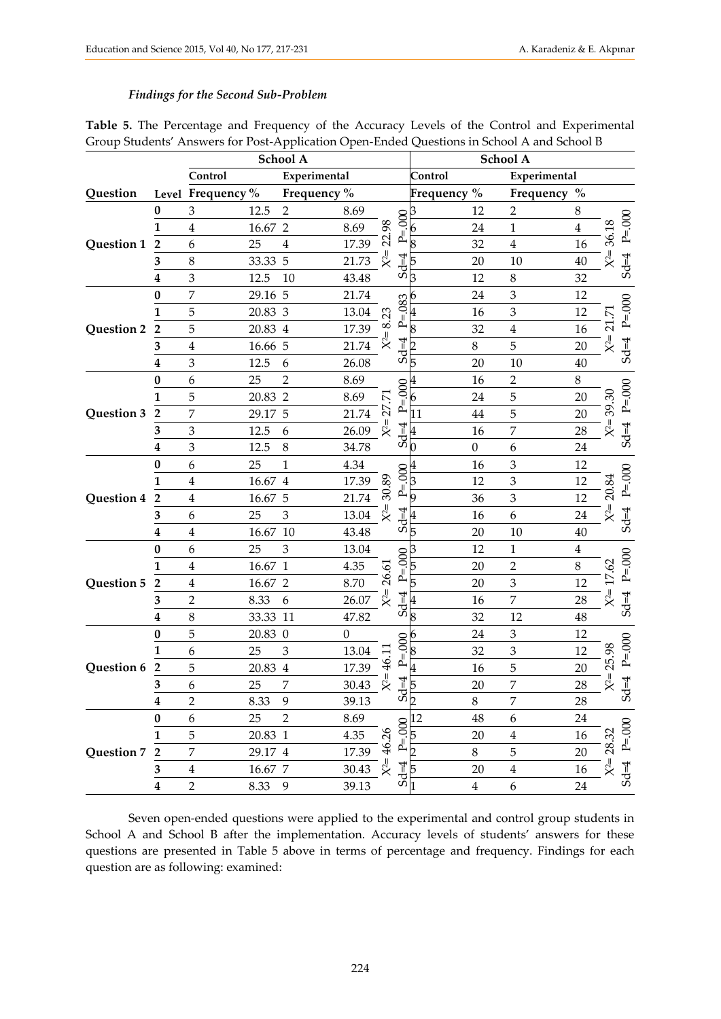#### *Findings for the Second Sub-Problem*

|            |                         | School A                |          |                |              |                                     | School A         |                         |                  |                |                 |               |
|------------|-------------------------|-------------------------|----------|----------------|--------------|-------------------------------------|------------------|-------------------------|------------------|----------------|-----------------|---------------|
|            |                         | Control<br>Experimental |          |                |              |                                     |                  | Experimental<br>Control |                  |                |                 |               |
| Question   |                         | Level Frequency%        |          | Frequency %    |              |                                     |                  | Frequency %             |                  | Frequency %    |                 |               |
|            | $\bf{0}$                | $\mathfrak{Z}$          | 12.5     | $\overline{2}$ | 8.69         |                                     |                  | 12                      | $\overline{2}$   | $8\,$          |                 |               |
|            | 1                       | $\overline{4}$          | 16.67    | $\overline{2}$ | 8.69         | 98                                  | 8                | 24                      | $\mathbf{1}$     | $\overline{4}$ |                 | $P = 000$     |
| Question 1 | $\overline{\mathbf{2}}$ | 6                       | 25       | $\overline{4}$ | 17.39        | $\mathfrak{A}$                      | $P_{\equiv}$     | 8<br>32                 | $\overline{4}$   | 16             | $X^2 = 36.18$   |               |
|            | 3                       | 8                       | 33.33    | 5              | 21.73        |                                     | $Sd=4$           | 20                      | 10               | 40             |                 | $3d=4$        |
|            | 4                       | 3                       | 12.5     | 10             | 43.48        |                                     |                  | 12<br>З                 | $\,8\,$          | 32             |                 |               |
|            | 0                       | 7                       | 29.16    | 5              | 21.74        | 23                                  | 083<br>$5d=4$    | 24<br>6                 | $\mathfrak 3$    | 12             |                 |               |
|            | 1                       | 5                       | 20.83 3  |                | 13.04        |                                     |                  | 16                      | 3                | 12             | Ŋ               | $P = 000$     |
| Question 2 | $\overline{2}$          | 5                       | 20.83    | $\overline{4}$ | 17.39        | ∞                                   |                  | 8<br>32                 | $\overline{4}$   | 16             | $\overline{21}$ |               |
|            | 3                       | $\overline{4}$          | 16.66    | 5              | 21.74        | $X^2=$                              |                  | 8                       | 5                | 20             | $X^2=$          | $B = 58$      |
|            | 4                       | 3                       | 12.5     | 6              | 26.08        |                                     |                  | 5<br>20                 | 10               | 40             |                 |               |
|            | $\bf{0}$                | 6                       | 25       | $\overline{2}$ | 8.69         |                                     |                  | 16                      | $\overline{2}$   | $8\,$          |                 |               |
|            | 1                       | 5                       | 20.83    | $\overline{2}$ | 8.69         | Ŋ                                   | 800<br>JI        | 24<br>6                 | 5                | 20             | 39.30           | $P = 000$     |
| Question 3 | 2                       | 7                       | 29.17    | 5              | 21.74        | $\widetilde{\mathcal{L}}$<br>$X^2=$ | ≏                | 11<br>44                | 5                | 20             |                 |               |
|            | 3                       | 3                       | 12.5     | 6              | 26.09        |                                     | $Sd=4$           | 16                      | 7                | 28             | $X^2=$          | $B = 58$      |
|            | 4                       | 3                       | 12.5     | $\,8\,$        | 34.78        |                                     |                  | $\boldsymbol{0}$<br>O   | 6                | 24             |                 |               |
|            | 0                       | 6                       | 25       | $\mathbf{1}$   | 4.34         | 30.89                               |                  | 16                      | 3                | 12             |                 |               |
|            | 1                       | $\overline{4}$          | 16.67    | $\overline{4}$ | 17.39        |                                     | 80<br>P=         | 12                      | 3                | 12             |                 | $P = 000$     |
| Question 4 | $\overline{2}$          | $\overline{4}$          | 16.67    | 5              | 21.74        |                                     |                  | 9<br>36                 | $\mathfrak 3$    | 12             | $X^2 = 20.84$   |               |
|            | 3                       | 6                       | 25       | 3              | 13.04        |                                     | $Sd=4$           | 16                      | 6                | 24             |                 | $B = B$       |
|            | 4                       | $\overline{4}$          | 16.67 10 |                | 43.48        |                                     |                  | 5<br>20                 | 10               | 40             |                 |               |
|            | $\bf{0}$                | 6                       | 25       | 3              | 13.04        | 26.61                               |                  | 12                      | $\mathbf{1}$     | $\overline{4}$ |                 |               |
|            | 1                       | $\overline{4}$          | 16.67    | $\mathbf{1}$   | 4.35         |                                     | $000$ .          | 20<br>5                 | $\overline{2}$   | 8              | $\mathcal{S}$   | $P = 000$     |
| Question 5 | $\overline{2}$          | 4                       | 16.67    | $\overline{2}$ | 8.70         |                                     |                  | 5<br>20                 | 3                | 12             | $\overline{1}$  |               |
|            | 3                       | $\overline{2}$          | 8.33     | 6              | 26.07        | $X^2=$                              | $5d=4$           | 16                      | 7                | 28             | $X^2=$          | $5d=4$        |
|            | 4                       | $\,8\,$                 | 33.33    | 11             | 47.82        |                                     |                  | 8<br>32                 | 12               | 48             |                 |               |
|            | $\bf{0}$                | 5                       | 20.83 0  |                | $\mathbf{0}$ |                                     |                  | 24                      | 3                | 12             |                 |               |
|            | 1                       | 6                       | 25       | 3              | 13.04        |                                     | 600              | 32                      | $\mathfrak{Z}$   | 12             |                 | $Sd=4$ P=.000 |
| Question 6 | 2                       | 5                       | 20.83    | $\overline{4}$ | 17.39        | $\ddot{46}$                         | .<br>اے<br>$d=4$ | 4<br>16                 | 5                | 20             | $X^2 = 25.98$   |               |
|            | 3                       | 6                       | 25       | 7              | 30.43        | $X^2=$                              |                  | 5<br>20                 | $\overline{7}$   | 28             |                 |               |
|            | $\boldsymbol{4}$        | $\overline{c}$          | 8.33     | 9              | 39.13        |                                     | ഗ് $_2$          | $\,8\,$                 | 7                | 28             |                 |               |
|            | 0                       | 6                       | 25       | $\overline{2}$ | 8.69         |                                     |                  | 48<br>12                | 6                | 24             |                 |               |
|            | 1                       | 5                       | 20.83 1  |                | 4.35         |                                     | $P = 000$        | 20<br>5                 | $\overline{4}$   | 16             |                 | $Sd=4$ P=000  |
| Question 7 | $\overline{2}$          | 7                       | 29.17 4  |                | 17.39        | $X^2 = 46.26$                       |                  | $\overline{2}$<br>$8\,$ | 5                | 20             | $X^2 = 28.32$   |               |
|            | 3                       | $\bf 4$                 | 16.67 7  |                | 30.43        |                                     | $Sd=4$           | 20<br>5                 | $\overline{4}$   | 16             |                 |               |
|            | $\boldsymbol{4}$        | $\overline{2}$          | 8.33     | $\overline{9}$ | 39.13        |                                     |                  | $\overline{\mathbf{4}}$ | $\boldsymbol{6}$ | 24             |                 |               |

**Table 5.** The Percentage and Frequency of the Accuracy Levels of the Control and Experimental Group Students' Answers for Post-Application Open-Ended Questions in School A and School B

Seven open-ended questions were applied to the experimental and control group students in School A and School B after the implementation. Accuracy levels of students' answers for these questions are presented in Table 5 above in terms of percentage and frequency. Findings for each question are as following: examined: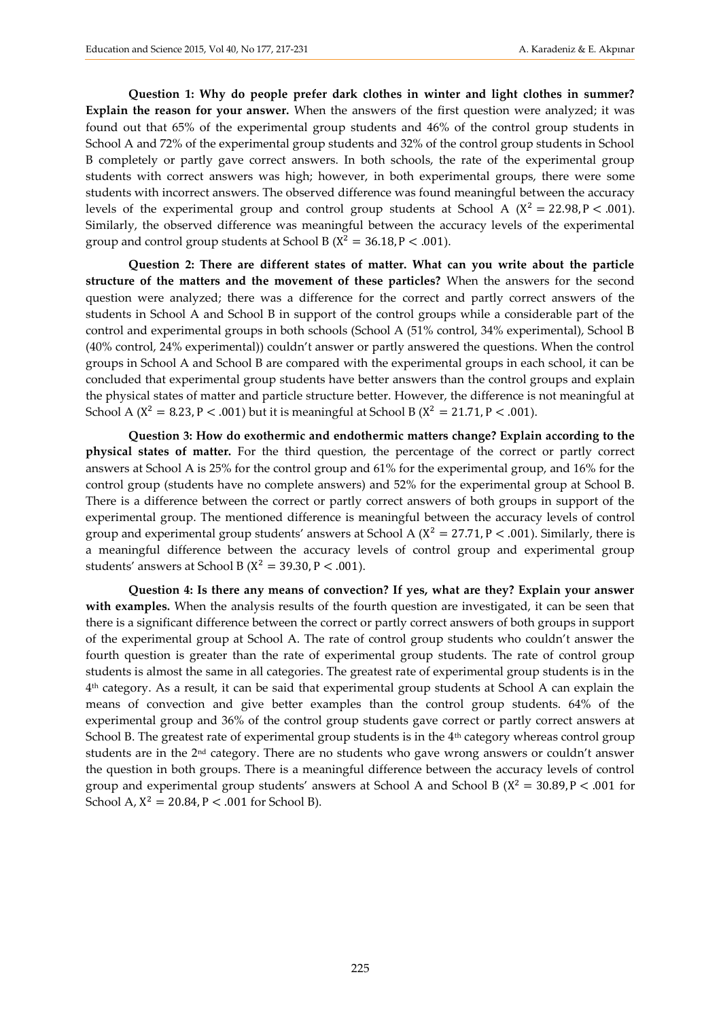**Question 1: Why do people prefer dark clothes in winter and light clothes in summer? Explain the reason for your answer.** When the answers of the first question were analyzed; it was found out that 65% of the experimental group students and 46% of the control group students in School A and 72% of the experimental group students and 32% of the control group students in School B completely or partly gave correct answers. In both schools, the rate of the experimental group students with correct answers was high; however, in both experimental groups, there were some students with incorrect answers. The observed difference was found meaningful between the accuracy levels of the experimental group and control group students at School A ( $X^2 = 22.98$ ,  $P < .001$ ). Similarly, the observed difference was meaningful between the accuracy levels of the experimental group and control group students at School B ( $X^2 = 36.18$ , P < .001).

**Question 2: There are different states of matter. What can you write about the particle structure of the matters and the movement of these particles?** When the answers for the second question were analyzed; there was a difference for the correct and partly correct answers of the students in School A and School B in support of the control groups while a considerable part of the control and experimental groups in both schools (School A (51% control, 34% experimental), School B (40% control, 24% experimental)) couldn't answer or partly answered the questions. When the control groups in School A and School B are compared with the experimental groups in each school, it can be concluded that experimental group students have better answers than the control groups and explain the physical states of matter and particle structure better. However, the difference is not meaningful at School A ( $X^2 = 8.23$ , P < .001) but it is meaningful at School B ( $X^2 = 21.71$ , P < .001).

**Question 3: How do exothermic and endothermic matters change? Explain according to the physical states of matter.** For the third question, the percentage of the correct or partly correct answers at School A is 25% for the control group and 61% for the experimental group, and 16% for the control group (students have no complete answers) and 52% for the experimental group at School B. There is a difference between the correct or partly correct answers of both groups in support of the experimental group. The mentioned difference is meaningful between the accuracy levels of control group and experimental group students' answers at School A ( $X^2 = 27.71$ , P < .001). Similarly, there is a meaningful difference between the accuracy levels of control group and experimental group students' answers at School B ( $X^2 = 39.30$ , P < .001).

**Question 4: Is there any means of convection? If yes, what are they? Explain your answer with examples.** When the analysis results of the fourth question are investigated, it can be seen that there is a significant difference between the correct or partly correct answers of both groups in support of the experimental group at School A. The rate of control group students who couldn't answer the fourth question is greater than the rate of experimental group students. The rate of control group students is almost the same in all categories. The greatest rate of experimental group students is in the 4 th category. As a result, it can be said that experimental group students at School A can explain the means of convection and give better examples than the control group students. 64% of the experimental group and 36% of the control group students gave correct or partly correct answers at School B. The greatest rate of experimental group students is in the  $4<sup>th</sup>$  category whereas control group students are in the 2nd category. There are no students who gave wrong answers or couldn't answer the question in both groups. There is a meaningful difference between the accuracy levels of control group and experimental group students' answers at School A and School B ( $X^2 = 30.89$ , P < .001 for School A,  $X^2 = 20.84$ ,  $P < .001$  for School B).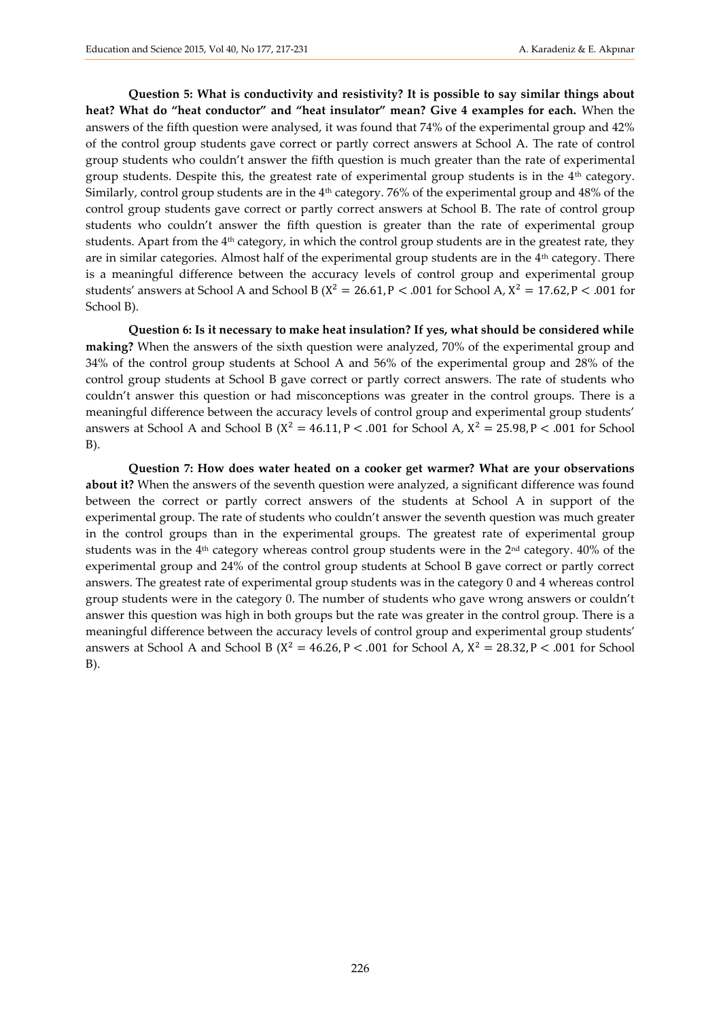**Question 5: What is conductivity and resistivity? It is possible to say similar things about heat? What do "heat conductor" and "heat insulator" mean? Give 4 examples for each.** When the answers of the fifth question were analysed, it was found that 74% of the experimental group and 42% of the control group students gave correct or partly correct answers at School A. The rate of control group students who couldn't answer the fifth question is much greater than the rate of experimental group students. Despite this, the greatest rate of experimental group students is in the 4th category. Similarly, control group students are in the 4<sup>th</sup> category. 76% of the experimental group and 48% of the control group students gave correct or partly correct answers at School B. The rate of control group students who couldn't answer the fifth question is greater than the rate of experimental group students. Apart from the  $4<sup>th</sup>$  category, in which the control group students are in the greatest rate, they are in similar categories. Almost half of the experimental group students are in the 4<sup>th</sup> category. There is a meaningful difference between the accuracy levels of control group and experimental group students' answers at School A and School B ( $X^2 = 26.61$ , P < .001 for School A,  $X^2 = 17.62$ , P < .001 for School B).

**Question 6: Is it necessary to make heat insulation? If yes, what should be considered while making?** When the answers of the sixth question were analyzed, 70% of the experimental group and 34% of the control group students at School A and 56% of the experimental group and 28% of the control group students at School B gave correct or partly correct answers. The rate of students who couldn't answer this question or had misconceptions was greater in the control groups. There is a meaningful difference between the accuracy levels of control group and experimental group students' answers at School A and School B ( $X^2 = 46.11$ ,  $P < .001$  for School A,  $X^2 = 25.98$ ,  $P < .001$  for School B).

**Question 7: How does water heated on a cooker get warmer? What are your observations about it?** When the answers of the seventh question were analyzed, a significant difference was found between the correct or partly correct answers of the students at School A in support of the experimental group. The rate of students who couldn't answer the seventh question was much greater in the control groups than in the experimental groups. The greatest rate of experimental group students was in the 4<sup>th</sup> category whereas control group students were in the 2<sup>nd</sup> category. 40% of the experimental group and 24% of the control group students at School B gave correct or partly correct answers. The greatest rate of experimental group students was in the category 0 and 4 whereas control group students were in the category 0. The number of students who gave wrong answers or couldn't answer this question was high in both groups but the rate was greater in the control group. There is a meaningful difference between the accuracy levels of control group and experimental group students' answers at School A and School B ( $X^2 = 46.26$ ,  $P < .001$  for School A,  $X^2 = 28.32$ ,  $P < .001$  for School B).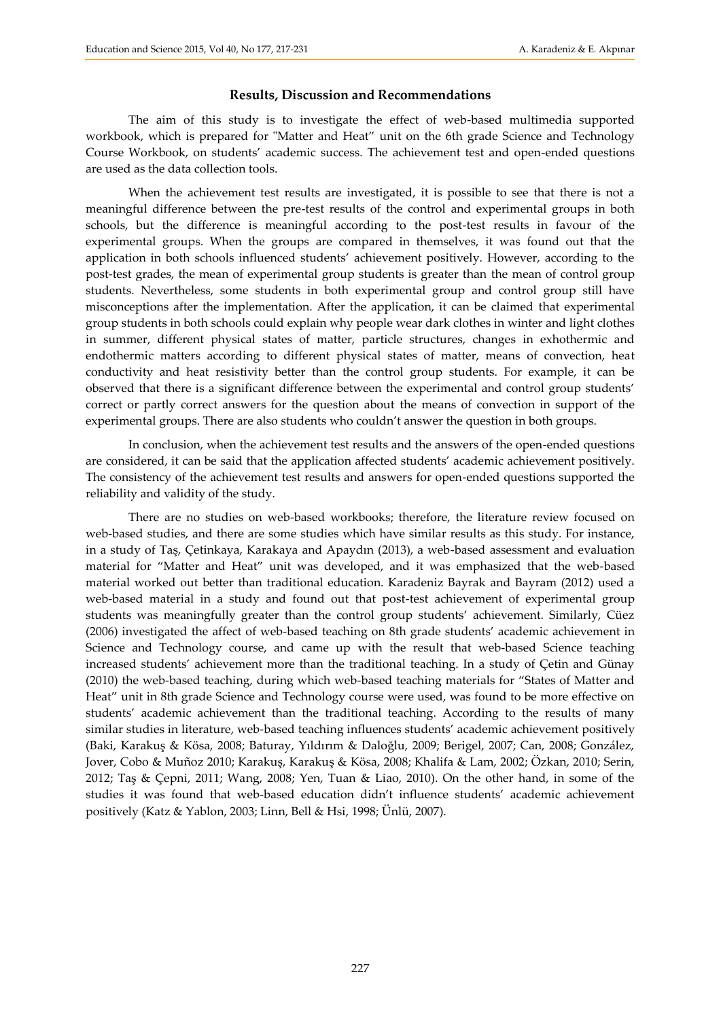#### **Results, Discussion and Recommendations**

The aim of this study is to investigate the effect of web-based multimedia supported workbook, which is prepared for "Matter and Heat" unit on the 6th grade Science and Technology Course Workbook, on students' academic success. The achievement test and open-ended questions are used as the data collection tools.

When the achievement test results are investigated, it is possible to see that there is not a meaningful difference between the pre-test results of the control and experimental groups in both schools, but the difference is meaningful according to the post-test results in favour of the experimental groups. When the groups are compared in themselves, it was found out that the application in both schools influenced students' achievement positively. However, according to the post-test grades, the mean of experimental group students is greater than the mean of control group students. Nevertheless, some students in both experimental group and control group still have misconceptions after the implementation. After the application, it can be claimed that experimental group students in both schools could explain why people wear dark clothes in winter and light clothes in summer, different physical states of matter, particle structures, changes in exhothermic and endothermic matters according to different physical states of matter, means of convection, heat conductivity and heat resistivity better than the control group students. For example, it can be observed that there is a significant difference between the experimental and control group students' correct or partly correct answers for the question about the means of convection in support of the experimental groups. There are also students who couldn't answer the question in both groups.

In conclusion, when the achievement test results and the answers of the open-ended questions are considered, it can be said that the application affected students' academic achievement positively. The consistency of the achievement test results and answers for open-ended questions supported the reliability and validity of the study.

There are no studies on web-based workbooks; therefore, the literature review focused on web-based studies, and there are some studies which have similar results as this study. For instance, in a study of Taş, Çetinkaya, Karakaya and Apaydın (2013), a web-based assessment and evaluation material for "Matter and Heat" unit was developed, and it was emphasized that the web-based material worked out better than traditional education. Karadeniz Bayrak and Bayram (2012) used a web-based material in a study and found out that post-test achievement of experimental group students was meaningfully greater than the control group students' achievement. Similarly, Cüez (2006) investigated the affect of web-based teaching on 8th grade students' academic achievement in Science and Technology course, and came up with the result that web-based Science teaching increased students' achievement more than the traditional teaching. In a study of Çetin and Günay (2010) the web-based teaching, during which web-based teaching materials for "States of Matter and Heat" unit in 8th grade Science and Technology course were used, was found to be more effective on students' academic achievement than the traditional teaching. According to the results of many similar studies in literature, web-based teaching influences students' academic achievement positively (Baki, Karakuş & Kösa, 2008; Baturay, Yıldırım & Daloğlu, 2009; Berigel, 2007; Can, 2008; González, Jover, Cobo & Muñoz 2010; Karakuş, Karakuş & Kösa, 2008; Khalifa & Lam, 2002; Özkan, 2010; Serin, 2012; Taş & Çepni, 2011; Wang, 2008; Yen, Tuan & Liao, 2010). On the other hand, in some of the studies it was found that web-based education didn't influence students' academic achievement positively (Katz & Yablon, 2003; Linn, Bell & Hsi, 1998; Ünlü, 2007).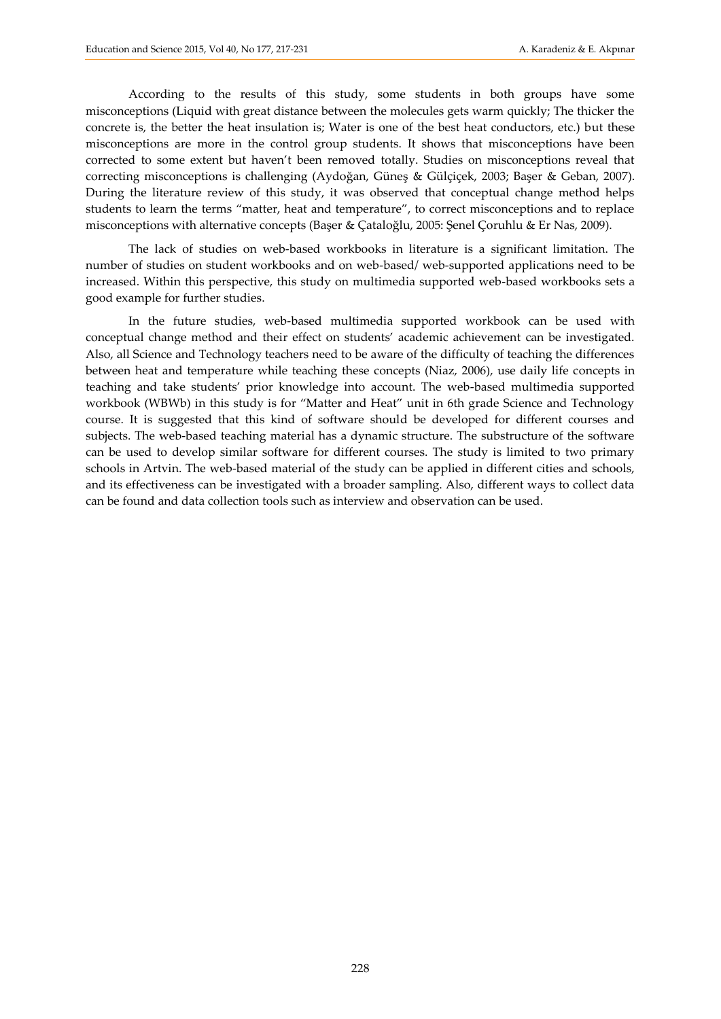According to the results of this study, some students in both groups have some misconceptions (Liquid with great distance between the molecules gets warm quickly; The thicker the concrete is, the better the heat insulation is; Water is one of the best heat conductors, etc.) but these misconceptions are more in the control group students. It shows that misconceptions have been corrected to some extent but haven't been removed totally. Studies on misconceptions reveal that correcting misconceptions is challenging (Aydoğan, Güneş & Gülçiçek, 2003; Başer & Geban, 2007). During the literature review of this study, it was observed that conceptual change method helps students to learn the terms "matter, heat and temperature", to correct misconceptions and to replace misconceptions with alternative concepts (Başer & Çataloğlu, 2005: Şenel Çoruhlu & Er Nas, 2009).

The lack of studies on web-based workbooks in literature is a significant limitation. The number of studies on student workbooks and on web-based/ web-supported applications need to be increased. Within this perspective, this study on multimedia supported web-based workbooks sets a good example for further studies.

In the future studies, web-based multimedia supported workbook can be used with conceptual change method and their effect on students' academic achievement can be investigated. Also, all Science and Technology teachers need to be aware of the difficulty of teaching the differences between heat and temperature while teaching these concepts (Niaz, 2006), use daily life concepts in teaching and take students' prior knowledge into account. The web-based multimedia supported workbook (WBWb) in this study is for "Matter and Heat" unit in 6th grade Science and Technology course. It is suggested that this kind of software should be developed for different courses and subjects. The web-based teaching material has a dynamic structure. The substructure of the software can be used to develop similar software for different courses. The study is limited to two primary schools in Artvin. The web-based material of the study can be applied in different cities and schools, and its effectiveness can be investigated with a broader sampling. Also, different ways to collect data can be found and data collection tools such as interview and observation can be used.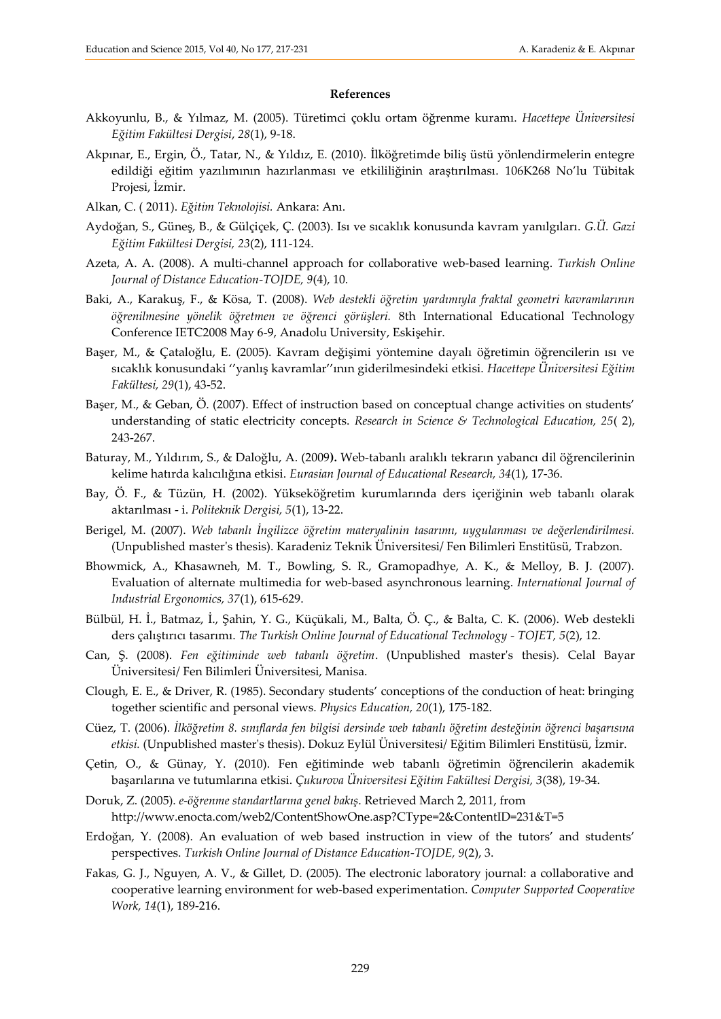#### **References**

- Akkoyunlu, B., & Yılmaz, M. (2005). Türetimci çoklu ortam öğrenme kuramı. *Hacettepe Üniversitesi Eğitim Fakültesi Dergisi*, *28*(1), 9-18.
- Akpınar, E., Ergin, Ö., Tatar, N., & Yıldız, E. (2010). İlköğretimde biliş üstü yönlendirmelerin entegre edildiği eğitim yazılımının hazırlanması ve etkililiğinin araştırılması. 106K268 No'lu Tübitak Projesi, İzmir.
- Alkan, C. ( 2011). *Eğitim Teknolojisi.* Ankara: Anı.
- Aydoğan, S., Güneş, B., & Gülçiçek, Ç. (2003). Isı ve sıcaklık konusunda kavram yanılgıları. *G.Ü. Gazi Eğitim Fakültesi Dergisi, 23*(2), 111-124.
- Azeta, A. A. (2008). A multi-channel approach for collaborative web-based learning. *Turkish Online Journal of Distance Education-TOJDE, 9*(4), 10.
- Baki, A., Karakuş, F., & Kösa, T. (2008). *Web destekli öğretim yardımıyla fraktal geometri kavramlarının öğrenilmesine yönelik öğretmen ve öğrenci görüşleri.* 8th International Educational Technology Conference IETC2008 May 6-9, Anadolu University, Eskişehir.
- Başer, M., & Çataloğlu, E. (2005). Kavram değişimi yöntemine dayalı öğretimin öğrencilerin ısı ve sıcaklık konusundaki ''yanlış kavramlar''ının giderilmesindeki etkisi. *Hacettepe Üniversitesi Eğitim Fakültesi, 29*(1), 43-52.
- Başer, M., & Geban, Ö. (2007). Effect of instruction based on conceptual change activities on students' understanding of static electricity concepts. *Research in Science & Technological Education, 25*( 2), 243-267.
- Baturay, M., Yıldırım, S., & Daloğlu, A. (2009**).** Web-tabanlı aralıklı tekrarın yabancı dil öğrencilerinin kelime hatırda kalıcılığına etkisi. *Eurasian Journal of Educational Research, 34*(1), 17-36.
- Bay, Ö. F., & Tüzün, H. (2002). Yükseköğretim kurumlarında ders içeriğinin web tabanlı olarak aktarılması - i. *Politeknik Dergisi, 5*(1), 13-22.
- Berigel, M. (2007). *Web tabanlı İngilizce öğretim materyalinin tasarımı, uygulanması ve değerlendirilmesi.* (Unpublished master's thesis). Karadeniz Teknik Üniversitesi/ Fen Bilimleri Enstitüsü, Trabzon.
- Bhowmick, A., Khasawneh, M. T., Bowling, S. R., Gramopadhye, A. K., & Melloy, B. J. (2007). Evaluation of alternate multimedia for web-based asynchronous learning. *International Journal of Industrial Ergonomics, 37*(1), 615-629.
- Bülbül, H. İ., Batmaz, İ., Şahin, Y. G., Küçükali, M., Balta, Ö. Ç., & Balta, C. K. (2006). Web destekli ders çalıştırıcı tasarımı. *The Turkish Online Journal of Educational Technology - TOJET, 5*(2), 12.
- Can, Ş. (2008). *Fen eğitiminde web tabanlı öğretim*. (Unpublished master's thesis). Celal Bayar Üniversitesi/ Fen Bilimleri Üniversitesi, Manisa.
- Clough, E. E., & Driver, R. (1985). Secondary students' conceptions of the conduction of heat: bringing together scientific and personal views. *Physics Education, 20*(1), 175-182.
- Cüez, T. (2006). *İlköğretim 8. sınıflarda fen bilgisi dersinde web tabanlı öğretim desteğinin öğrenci başarısına etkisi.* (Unpublished master's thesis). Dokuz Eylül Üniversitesi/ Eğitim Bilimleri Enstitüsü, İzmir.
- Çetin, O., & Günay, Y. (2010). Fen eğitiminde web tabanlı öğretimin öğrencilerin akademik başarılarına ve tutumlarına etkisi. *Çukurova Üniversitesi Eğitim Fakültesi Dergisi, 3*(38), 19-34.
- Doruk, Z. (2005). *e-öğrenme standartlarına genel bakış*. Retrieved March 2, 2011, from http://www.enocta.com/web2/ContentShowOne.asp?CType=2&ContentID=231&T=5
- Erdoğan, Y. (2008). An evaluation of web based instruction in view of the tutors' and students' perspectives. *Turkish Online Journal of Distance Education-TOJDE, 9*(2), 3.
- Fakas, G. J., Nguyen, A. V., & Gillet, D. (2005). The electronic laboratory journal: a collaborative and cooperative learning environment for web-based experimentation. *Computer Supported Cooperative Work, 14*(1), 189-216.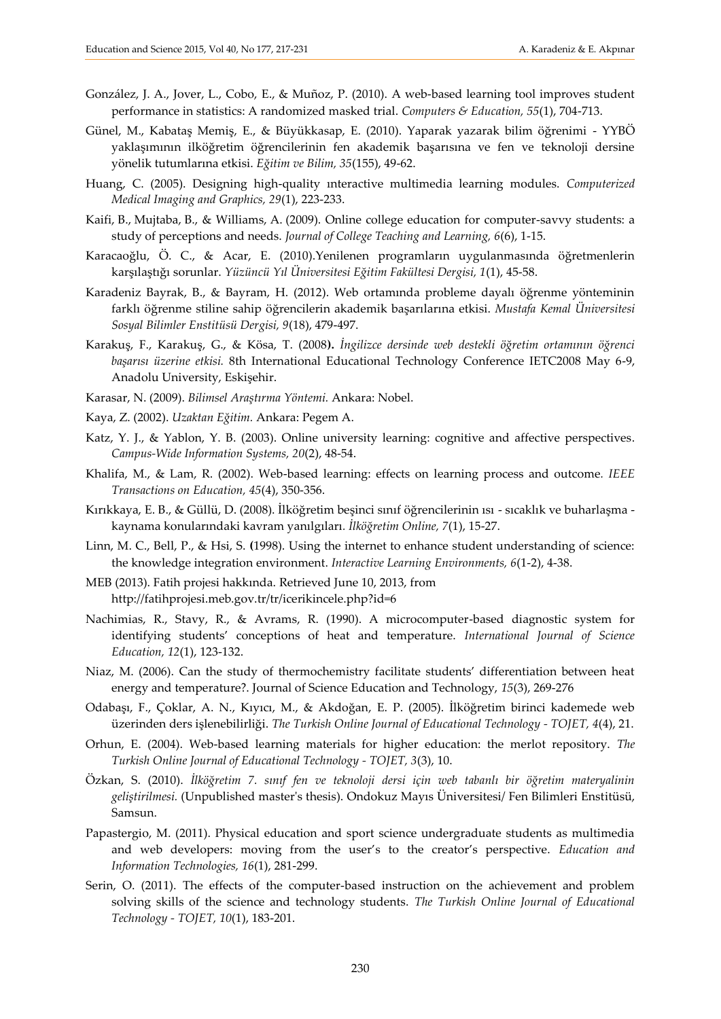- González, J. A., Jover, L., Cobo, E., & Muñoz, P. (2010). A web-based learning tool improves student performance in statistics: A randomized masked trial. *Computers & Education, 55*(1), 704-713.
- Günel, M., Kabataş Memiş, E., & Büyükkasap, E. (2010). Yaparak yazarak bilim öğrenimi YYBÖ yaklaşımının ilköğretim öğrencilerinin fen akademik başarısına ve fen ve teknoloji dersine yönelik tutumlarına etkisi. *Eğitim ve Bilim, 35*(155), 49-62.
- Huang, C. (2005). Designing high-quality ınteractive multimedia learning modules. *Computerized Medical Imaging and Graphics, 29*(1), 223-233.
- Kaifi, B., Mujtaba, B., & Williams, A. (2009). Online college education for computer-savvy students: a study of perceptions and needs. *Journal of College Teaching and Learning, 6*(6), 1-15.
- Karacaoğlu, Ö. C., & Acar, E. (2010).Yenilenen programların uygulanmasında öğretmenlerin karşılaştığı sorunlar. *Yüzüncü Yıl Üniversitesi Eğitim Fakültesi Dergisi, 1*(1), 45-58.
- Karadeniz Bayrak, B., & Bayram, H. (2012). Web ortamında probleme dayalı öğrenme yönteminin farklı öğrenme stiline sahip öğrencilerin akademik başarılarına etkisi. *Mustafa Kemal Üniversitesi Sosyal Bilimler Enstitüsü Dergisi, 9*(18), 479-497.
- Karakuş, F., Karakuş, G., & Kösa, T. (2008**).** *İngilizce dersinde web destekli öğretim ortamının öğrenci başarısı üzerine etkisi.* 8th International Educational Technology Conference IETC2008 May 6-9, Anadolu University, Eskişehir.
- Karasar, N. (2009). *Bilimsel Araştırma Yöntemi.* Ankara: Nobel.
- Kaya, Z. (2002). *Uzaktan Eğitim.* Ankara: Pegem A.
- Katz, Y. J., & Yablon, Y. B. (2003). Online university learning: cognitive and affective perspectives. *Campus-Wide Information Systems, 20*(2), 48-54.
- Khalifa, M., & Lam, R. (2002). Web-based learning: effects on learning process and outcome*. IEEE Transactions on Education, 45*(4), 350-356.
- Kırıkkaya, E. B., & Güllü, D. (2008). İlköğretim beşinci sınıf öğrencilerinin ısı sıcaklık ve buharlaşma kaynama konularındaki kavram yanılgıları*. İlköğretim Online, 7*(1), 15-27.
- Linn, M. C., Bell, P., & Hsi, S. **(**1998). Using the internet to enhance student understanding of science: the knowledge integration environment. *Interactive Learning Environments, 6*(1-2), 4-38.
- MEB (2013). Fatih projesi hakkında. Retrieved June 10, 2013, from http://fatihprojesi.meb.gov.tr/tr/icerikincele.php?id=6
- Nachimias, R., Stavy, R., & Avrams, R. (1990). A microcomputer-based diagnostic system for identifying students' conceptions of heat and temperature. *International Journal of Science Education, 12*(1), 123-132.
- Niaz, M. (2006). Can the study of thermochemistry facilitate students' differentiation between heat energy and temperature?. Journal of Science Education and Technology, *15*(3), 269-276
- Odabaşı, F., Çoklar, A. N., Kıyıcı, M., & Akdoğan, E. P. (2005). İlköğretim birinci kademede web üzerinden ders işlenebilirliği. *The Turkish Online Journal of Educational Technology - TOJET, 4*(4), 21.
- Orhun, E. (2004). Web-based learning materials for higher education: the merlot repository. *The Turkish Online Journal of Educational Technology - TOJET, 3*(3), 10.
- Özkan, S. (2010). *İlköğretim 7. sınıf fen ve teknoloji dersi için web tabanlı bir öğretim materyalinin geliştirilmesi.* (Unpublished master's thesis). Ondokuz Mayıs Üniversitesi/ Fen Bilimleri Enstitüsü, Samsun.
- Papastergio, M. (2011). Physical education and sport science undergraduate students as multimedia and web developers: moving from the user's to the creator's perspective. *Education and Information Technologies, 16*(1), 281-299.
- Serin, O. (2011). The effects of the computer-based instruction on the achievement and problem solving skills of the science and technology students. *The Turkish Online Journal of Educational Technology - TOJET, 10*(1), 183-201.